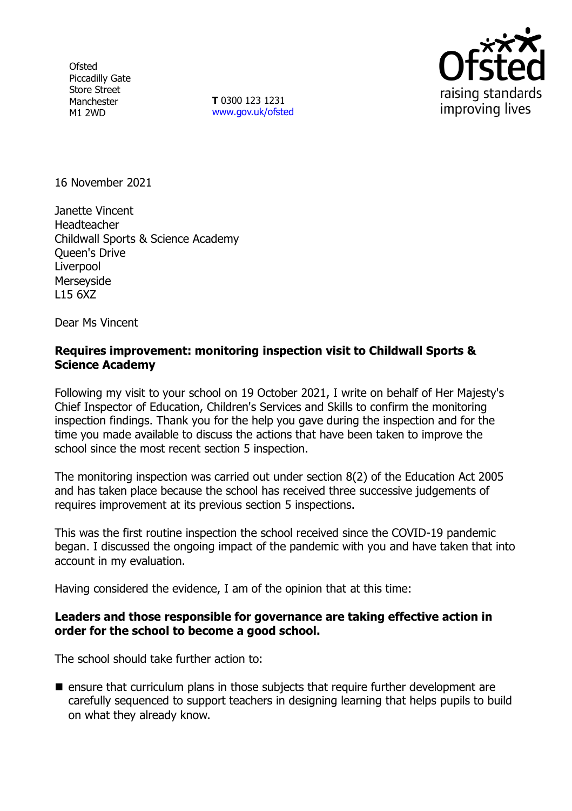**Ofsted** Piccadilly Gate Store Street Manchester M1 2WD

**T** 0300 123 1231 [www.gov.uk/ofsted](http://www.gov.uk/ofsted)



16 November 2021

Janette Vincent Headteacher Childwall Sports & Science Academy Queen's Drive **Liverpool** Merseyside L15 6XZ

Dear Ms Vincent

### **Requires improvement: monitoring inspection visit to Childwall Sports & Science Academy**

Following my visit to your school on 19 October 2021, I write on behalf of Her Majesty's Chief Inspector of Education, Children's Services and Skills to confirm the monitoring inspection findings. Thank you for the help you gave during the inspection and for the time you made available to discuss the actions that have been taken to improve the school since the most recent section 5 inspection.

The monitoring inspection was carried out under section 8(2) of the Education Act 2005 and has taken place because the school has received three successive judgements of requires improvement at its previous section 5 inspections.

This was the first routine inspection the school received since the COVID-19 pandemic began. I discussed the ongoing impact of the pandemic with you and have taken that into account in my evaluation.

Having considered the evidence, I am of the opinion that at this time:

#### **Leaders and those responsible for governance are taking effective action in order for the school to become a good school.**

The school should take further action to:

■ ensure that curriculum plans in those subiects that require further development are carefully sequenced to support teachers in designing learning that helps pupils to build on what they already know.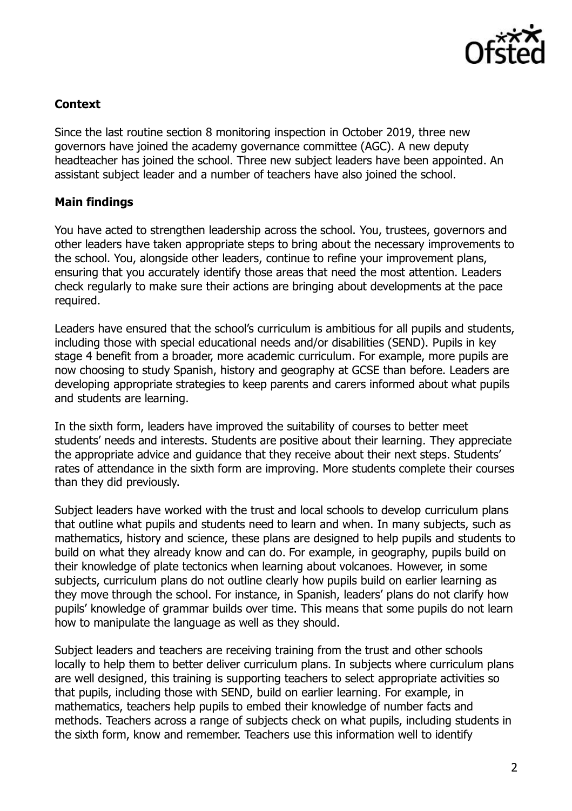

# **Context**

Since the last routine section 8 monitoring inspection in October 2019, three new governors have joined the academy governance committee (AGC). A new deputy headteacher has joined the school. Three new subject leaders have been appointed. An assistant subject leader and a number of teachers have also joined the school.

## **Main findings**

You have acted to strengthen leadership across the school. You, trustees, governors and other leaders have taken appropriate steps to bring about the necessary improvements to the school. You, alongside other leaders, continue to refine your improvement plans, ensuring that you accurately identify those areas that need the most attention. Leaders check regularly to make sure their actions are bringing about developments at the pace required.

Leaders have ensured that the school's curriculum is ambitious for all pupils and students, including those with special educational needs and/or disabilities (SEND). Pupils in key stage 4 benefit from a broader, more academic curriculum. For example, more pupils are now choosing to study Spanish, history and geography at GCSE than before. Leaders are developing appropriate strategies to keep parents and carers informed about what pupils and students are learning.

In the sixth form, leaders have improved the suitability of courses to better meet students' needs and interests. Students are positive about their learning. They appreciate the appropriate advice and guidance that they receive about their next steps. Students' rates of attendance in the sixth form are improving. More students complete their courses than they did previously.

Subject leaders have worked with the trust and local schools to develop curriculum plans that outline what pupils and students need to learn and when. In many subjects, such as mathematics, history and science, these plans are designed to help pupils and students to build on what they already know and can do. For example, in geography, pupils build on their knowledge of plate tectonics when learning about volcanoes. However, in some subjects, curriculum plans do not outline clearly how pupils build on earlier learning as they move through the school. For instance, in Spanish, leaders' plans do not clarify how pupils' knowledge of grammar builds over time. This means that some pupils do not learn how to manipulate the language as well as they should.

Subject leaders and teachers are receiving training from the trust and other schools locally to help them to better deliver curriculum plans. In subjects where curriculum plans are well designed, this training is supporting teachers to select appropriate activities so that pupils, including those with SEND, build on earlier learning. For example, in mathematics, teachers help pupils to embed their knowledge of number facts and methods. Teachers across a range of subjects check on what pupils, including students in the sixth form, know and remember. Teachers use this information well to identify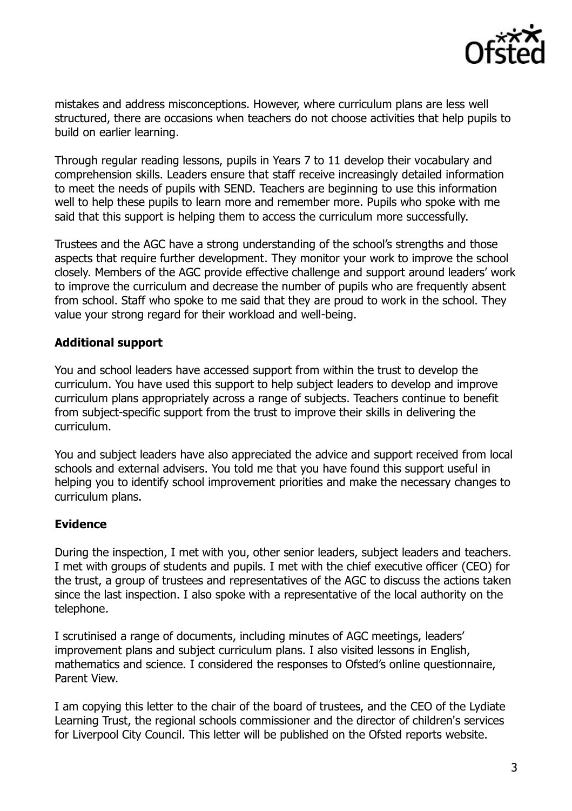

mistakes and address misconceptions. However, where curriculum plans are less well structured, there are occasions when teachers do not choose activities that help pupils to build on earlier learning.

Through regular reading lessons, pupils in Years 7 to 11 develop their vocabulary and comprehension skills. Leaders ensure that staff receive increasingly detailed information to meet the needs of pupils with SEND. Teachers are beginning to use this information well to help these pupils to learn more and remember more. Pupils who spoke with me said that this support is helping them to access the curriculum more successfully.

Trustees and the AGC have a strong understanding of the school's strengths and those aspects that require further development. They monitor your work to improve the school closely. Members of the AGC provide effective challenge and support around leaders' work to improve the curriculum and decrease the number of pupils who are frequently absent from school. Staff who spoke to me said that they are proud to work in the school. They value your strong regard for their workload and well-being.

## **Additional support**

You and school leaders have accessed support from within the trust to develop the curriculum. You have used this support to help subject leaders to develop and improve curriculum plans appropriately across a range of subjects. Teachers continue to benefit from subject-specific support from the trust to improve their skills in delivering the curriculum.

You and subject leaders have also appreciated the advice and support received from local schools and external advisers. You told me that you have found this support useful in helping you to identify school improvement priorities and make the necessary changes to curriculum plans.

#### **Evidence**

During the inspection, I met with you, other senior leaders, subject leaders and teachers. I met with groups of students and pupils. I met with the chief executive officer (CEO) for the trust, a group of trustees and representatives of the AGC to discuss the actions taken since the last inspection. I also spoke with a representative of the local authority on the telephone.

I scrutinised a range of documents, including minutes of AGC meetings, leaders' improvement plans and subject curriculum plans. I also visited lessons in English, mathematics and science. I considered the responses to Ofsted's online questionnaire, Parent View.

I am copying this letter to the chair of the board of trustees, and the CEO of the Lydiate Learning Trust, the regional schools commissioner and the director of children's services for Liverpool City Council. This letter will be published on the Ofsted reports website.